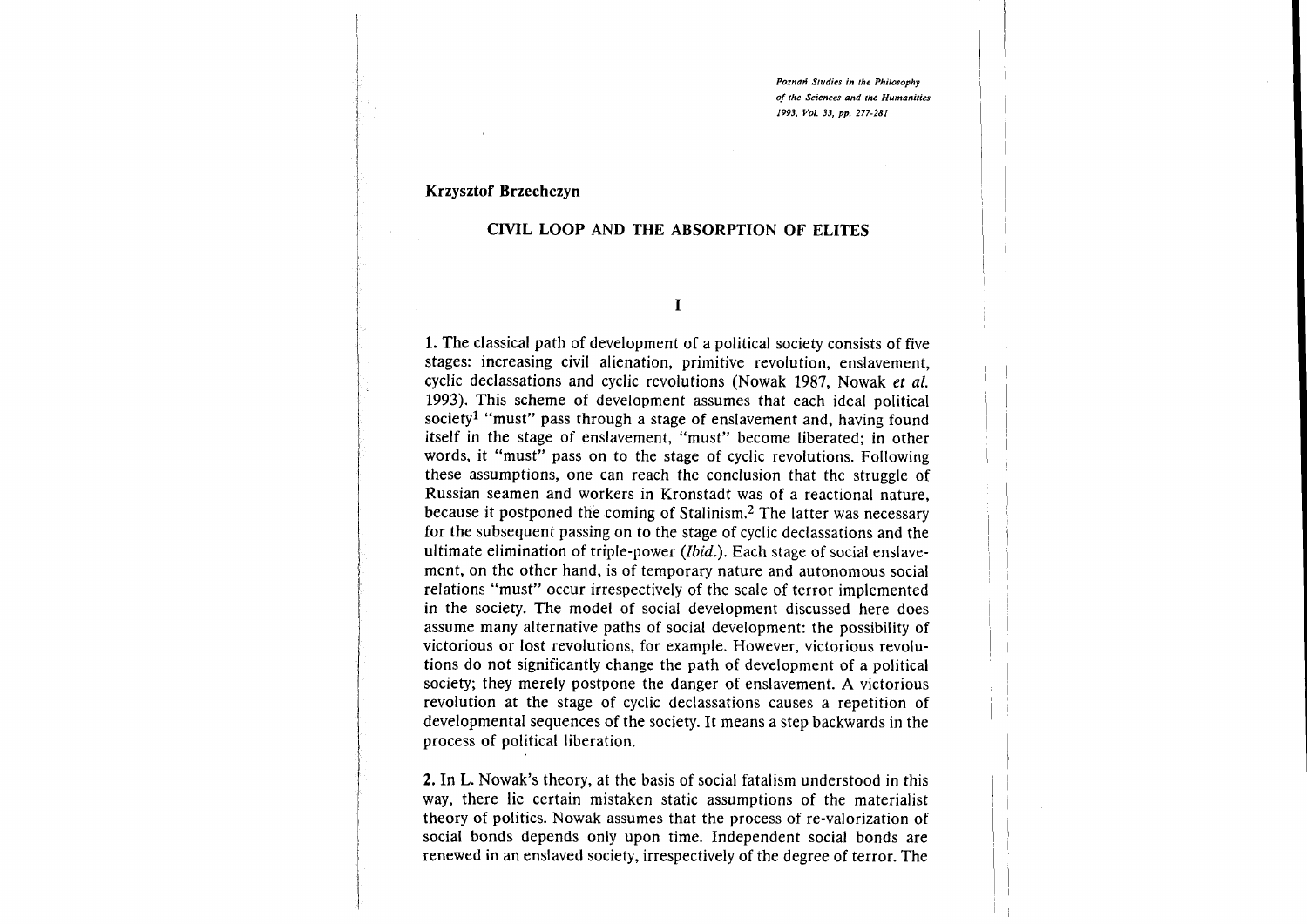Poznań Studies in the Philosophy of the Sciences and the Humanities 1993, Vol. 33, pp. 277-281

#### Krzysztof Brzechczyn

#### CIVIL LOOP AND THE ABSORPTTON OF ELITES

I

1. The classical path of development of a political society consists of five stages: increasing civil alienation, primitive revolution, enslavement, cyclic declassations and cyclic revolutions (Nowak 1987, Nowak et al. 1993). This scheme of development assumes that each ideal political society<sup>1</sup> "must" pass through a stage of enslavement and, having found itself in the stage of enslavement, "must" become liberated; in other words, it "must" pass on to the stage of cyclic revolutions. Following these assumptions, one can reach the conclusion that the struggle of Russian seamen and workers in Kronstadt was of a reactional nature, because it postponed the coming of Stalinism.2 The latter was necessary for the subsequent passing on to the stage of cyclic declassations and the ultimate elimination of triple-power (Ibid.). Each stage of social enslavement, on the other hand, is of temporary nature and autonomous social relations "must" occur irrespectively of the scale of terror implemented in the society. The model of social development discussed here does assume many alternative paths of social development: the possibility of victorious or lost revolutions, for example. However, victorious revolutions do not significantly change the path of development of a political society; they merely postpone the danger of enslavement. A victorious revolution at the stage of cyclic declassations causes a repetition of developmental sequences of the society. It means a step backwards in the process of political liberation.

2. In L. Nowak's theory, at the basis of social fatalism understood in this way, there lie certain mistaken static assumptions of the materialist theory of politics. Nowak assumes that the process of re-valorization of social bonds depends only upon time. Independent social bonds are renewed in an enslaved society, irrespectively of the degree of terror. The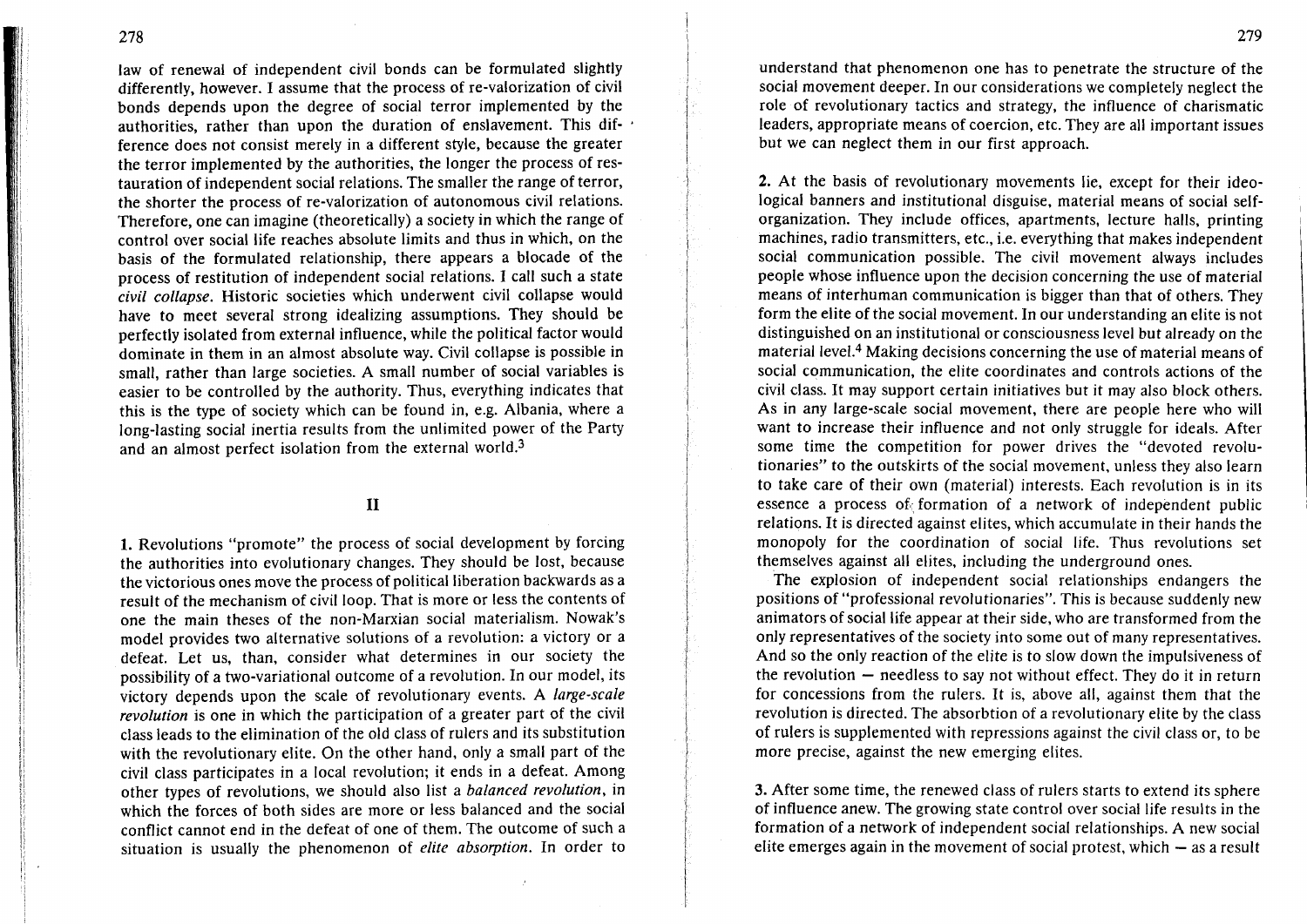law of renewal of independent civil bonds can be formulated slightly differently, however. I assume that the process of re-valorization of civil bonds depends upon the degree of social terror implemented by the authorities, rather than upon the duration of enslavement. This dif' ference does not consist merely in a different style, because the greater the terror implemented by the authorities, the longer the process of restauration of independent social relations. The smaller the range of terror, the shorter the process of re-valorization of autonomous civil relations. Therefore, one can imagine (theoretically) a society in which the range of control over social life reaches absolute limits and thus in which, on the basis of the formulated relationship, there appears a blocade of the process of restitution of independent social relations. I call such a state civit collapse. Historic societies which underwent civil collapse would have to meet several strong idealizing assumptions. They should be perfectly isolated from external influence, while the political factor would dominate in them in an almost absolute way. Civil collapse is possible in small, rather than large societies. A small number of social variables is easier to be controlled by the authority. Thus, everything indicates that this is the type of society which can be found in, e.g. Albania, where a long-lasting social inertia results from the unlimited power of the Party and an almost perfect isolation from the external world.3

II

1. Revolutions "promote" the process of social development by forcing the authorities into evolutionary changes. They should be lost, because the victorious ones move the process of political liberation backwards as a result of the mechanism of civil loop. That is more or less the contents of one the main theses of the non-Marxian social materialism. Nowak's model provides two alternative solutions of a revolution: a victory or <sup>a</sup> defeat. Let us, than, consider what determines in our society the possibility of a two-variational outcome of a revolution. In our model, its victory depends upon the scale of revolutionary events. A large-scale revolution is one in which the participation of a greater part of the civil class leads to the elimination of the old class of rulers and its substitution with the revolutionary elite. On the other hand, only a small part of the civil class participates in a local revolution; it ends in a defeat. Among other types of revolutions, we should also list a *balanced revolution*, in which the forces of both sides are more or less balanced and the social conflict cannot end in the defeat of one of them. The outcome of such a situation is usually the phenomenon of elite absorption. In order to

understand that phenomenon one has to penetrate the structure of the social movement deeper. In our considerations we completely neglect the role of revolutionary tactics and strategy, the influence of charismatic leaders, appropriate means of coercion, etc. They are all important issues but we can neglect them in our first approach.

2. At the basis of revolutionary movements lie, except for their ideological banners and institutional disguise, material means of social selforganization. They include offices, apartments, lecture halls, printing machines, radio transmitters, etc., i.e. everything that makes independent social communication possible. The civil movement always includes people whose influence upon the decision concerning the use of material means of interhuman communication is bigger than that of others. They form the elite of the social movement. In our understanding an elite is not distinguished on an institutional or consciousness level but already on the material level.4 Making decisions concerning the use of material means of social communication, the elite coordinates and controls actions of the civil class. It may support certain initiatives but it may also block others. As in any large-scale social movement, there are people here who will want to increase their influence and not only struggle for ideals. After some time the competition for power drives the "devoted revolutionaries" to the outskirts of the social movement, unless they also learn to take care of their own (material) interests. Each revolution is in its essence a process of formation of a network of independent public relations. It is directed against elites, which accumulate in their hands the monopoly for the coordination of social life. Thus revolutions set themselves against all elites, including the underground ones.

The explosion of independent social relationships endangers the positions of "professional revolutionaries". This is because suddenly new animators of social life appear at their side, who are transformed from the only representatives of the society into some out of many representatives. And so the only reaction of the elite is to slow down the impulsiveness of the revolution  $-$  needless to say not without effect. They do it in return for concessions from the rulers. It is, above all, against them that the revolution is directed. The absorbtion of a revolutionary elite by the class of rulers is supplemented with repressions against the civil class or, to be more precise, against the new emerging elites.

3. After some time, the renewed class of rulers starts to extend its sphere of influence anew. The growing state control over social life results in the formation of a network of independent social relationships. A new social elite emerges again in the movement of social protest, which  $-$  as a result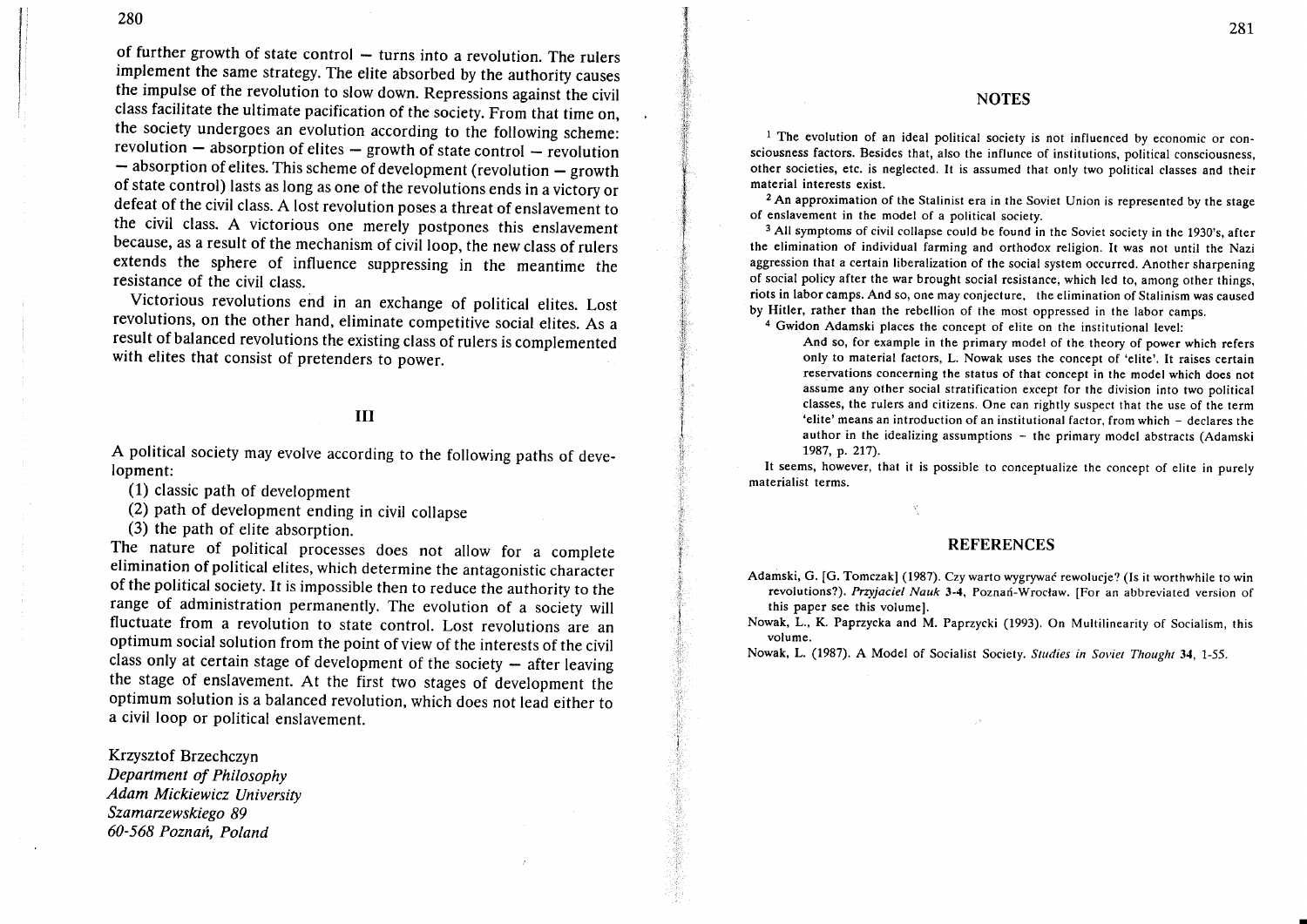ł.

of further growth of state control  $-$  turns into a revolution. The rulers implement the same strategy. The elite absorbed by the authority causes the impulse of the revolution to slow down. Repressions against the civil class facilitate the ultimate pacification of the society. From that time on, the society undergoes an evolution according to the following scheme: revolution  $-$  absorption of elites  $-$  growth of state control  $-$  revolution<br> $-$  absorption of elites. This schome of development (expedition) - absorption of elites. This scheme of development (revolution - growth<br>of state control) lasts as long as one of the revolutions and in solid to of state control) lasts as long as one of the revolutions ends in a viciory or defeat of the civil class. A lost revolution poses a threat of enslavement to the civil class. A victorious one merely postpones this enslavement because, as a result of the mechanism of civil loop, the new class of rulers extends the sphere of influence suppressing in the meantime the resistance of the civil class.

victorious revolutions end in an exchange of political elites. Lost revolutions, on the other hand, eliminate competitive social elites. As <sup>a</sup> result of balanced revolutions the existing class of rulers is complemented with elites that consist of pretenders to power.

### III

A political society may evolve according to the following paths of development:

- (1) classic path of development
- (2) path of development ending in civil collapse

(3) the path of elite absorption.

The nature of political processes does not allow for a complete elimination of political elites, which determine the antagonistic character of the political society. It is impossible then to reduce the authority to the range of administration permanently. The evolution of a society will fluctuate from a revolution to state control. Lost revolutions are an optimum social solution from the point of view of the interests of the civil class only at certain stage of development of the society  $-$  after leaving the stage of enslavement. At the first two stages of development the optimum solution is a balanced revolution, which does not lead either to a civil loop or political enslavement.

Krzysztof Brzechczyn Department of Philosophy Adam Mickiewicz University Szamarzewskiego 89 60-568 Poznań, Poland

#### **NOTES**

<sup>1</sup> The evolution of an ideal political society is not influenced by economic or consciousness factors. Besides that, also the influnce of institutions, political consciousness, other societies, etc. is neglected. It is assumed that only two political classes and their material interests exist.

<sup>2</sup> An approximation of the Stalinist era in the Soviet Union is represented by the stage of enslavement in the model of a political society.

<sup>3</sup> All symptoms of civil collapse could be found in the Soviet society in the 1930's, after the elimination of individual farming and orthodox religion. It was not until the Nazi aggression that a certain liberalization of the social system occurred. Another sharpening of social policy after the war brought social resistance, which led to, among other things, riots in labor camps. And so, one may conjecture. the elimination of Stalinism was caused by Hitler, rather than the rebellion of the most oppressed in the labor camps.

a Gwidon Adamski places the concept of elite on the institutional level:

And so, for example in the primary model of the theory of power which refers only to material factors, L. Nowak uses the concept of 'elite'. It raises certain reservations concerning the status of that concept in the model which does not assume any other social stratification except for the division into two political classes, the rulers and citizens. One can rightly suspect that the use of the term 'elite' means an introduction of an institutional factor, from which - declares the author in the idealizing assumptions  $-$  the primary model abstracts (Adamski 1987, p. 217).

It seems, however, that it is possible to conceptualize the concept of elite in purely materialist terms.

#### **REFERENCES**

'.

Adamski, G. [G. Tomczak] (1987). Czy warto wygrywać rewolucje? (Is it worthwhile to win revolutions?). Przyjaciel Nauk 3-4, Poznań-Wrocław. [For an abbreviated version of this paper see this volume].

Nowak, L., K. Paprzycka and M. Paprzycki (1993). On Multilinearity of Socialism, this volume,

Nowak, L. (1987). A Model of Socialist Society. Studies in Soviet Thought 34, 1-55.